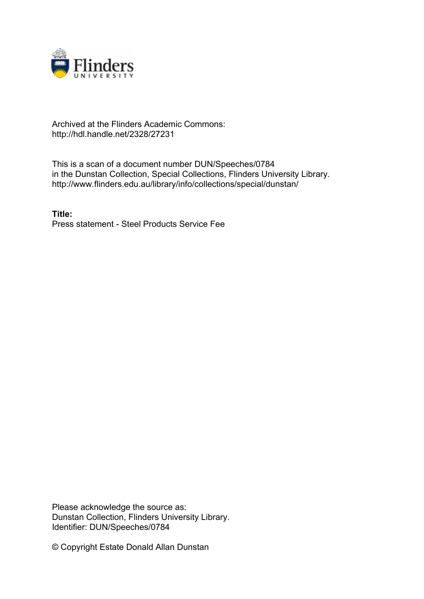

# Archived at the Flinders Academic Commons: http://hdl.handle.net/2328/27231

This is a scan of a document number DUN/Speeches/0784 in the Dunstan Collection, Special Collections, Flinders University Library. http://www.flinders.edu.au/library/info/collections/special/dunstan/

**Title:** Press statement - Steel Products Service Fee

Please acknowledge the source as: Dunstan Collection, Flinders University Library. Identifier: DUN/Speeches/0784

© Copyright Estate Donald Allan Dunstan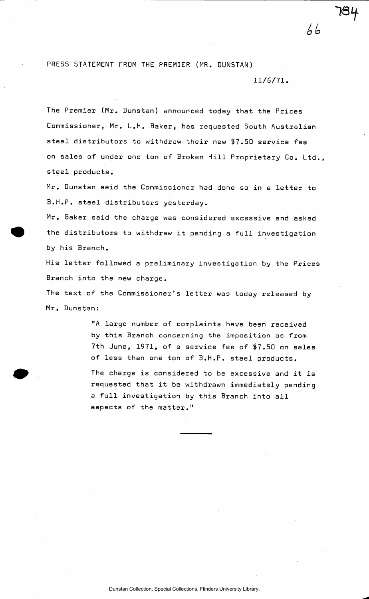## PRESS STATEMENT FROM THE PREMIER (MR. DUNSTAN)

### 11/6/71.

 $66$ 

The Premier (Mr. Dunstan) announced today that the Prices Commissioner, Mr. L.H. Baker, has requested South Australian steel distributors to withdraw their new \$7.50 service fee on sales of under one ton of Broken Hill Proprietary Co. Ltd., steel products.

Mr. Dunstan said the Commissioner had done so in a letter to B.H.P. steel distributors yesterday.

Mr. Baker said the charge was considered excessive and asked the distributors to withdraw it pending a full investigation by his Branch.

His letter followed a preliminary investigation by the Prices Branch into the new charge.

The text of the Commissioner's letter was today released by Mr. Dunstan:

> "A large number of complaints have been received by this Branch concerning the imposition as from 7th June, 1971, of a service fee of \$7.50 on sales of less than one ton of B.H.P. steel products.

> The charge is considered to be excessive and it is requested that it be withdrawn immediately pending a full investigation by this Branch into all aspects of the matter."